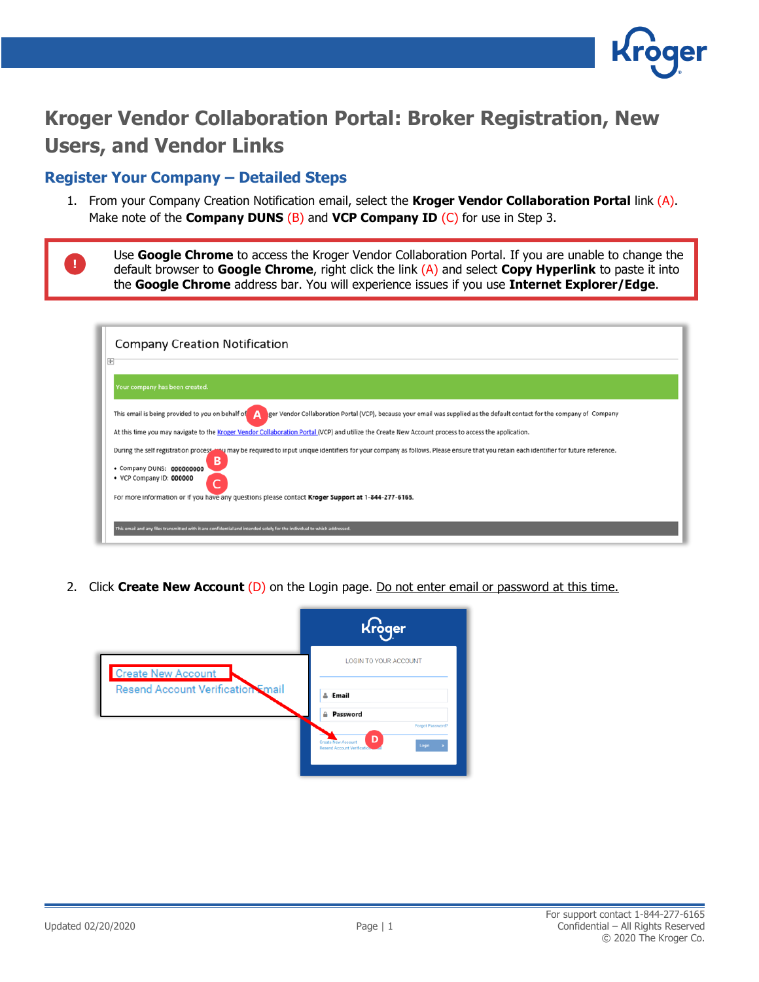

## **Kroger Vendor Collaboration Portal: Broker Registration, New Users, and Vendor Links**

## **Register Your Company – Detailed Steps**

**!**

1. From your Company Creation Notification email, select the **Kroger Vendor Collaboration Portal** link (A). Make note of the **Company DUNS** (B) and **VCP Company ID** (C) for use in Step 3.

Use **Google Chrome** to access the Kroger Vendor Collaboration Portal. If you are unable to change the default browser to **Google Chrome**, right click the link (A) and select **Copy Hyperlink** to paste it into the **Google Chrome** address bar. You will experience issues if you use **Internet Explorer/Edge**.

| <b>Company Creation Notification</b>                                                                                                                                                                                                                |  |
|-----------------------------------------------------------------------------------------------------------------------------------------------------------------------------------------------------------------------------------------------------|--|
| $\pm$                                                                                                                                                                                                                                               |  |
| Your company has been created.                                                                                                                                                                                                                      |  |
| This email is being provided to you on behalf of<br>ger Vendor Collaboration Portal (VCP), because your email was supplied as the default contact for the company of Company<br>Α                                                                   |  |
| At this time you may navigate to the Kroger Vendor Collaboration Portal (VCP) and utilize the Create New Account process to access the application.                                                                                                 |  |
| During the self registration process way may be required to input unique identifiers for your company as follows. Please ensure that you retain each identifier for future reference.<br>B<br>• Company DUNS: 000000000<br>• VCP Company ID: 000000 |  |
| For more information or if you have any questions please contact Kroger Support at 1-844-277-6165.                                                                                                                                                  |  |
| This email and any files transmitted with it are confidential and intended solely for the individual to which addressed.                                                                                                                            |  |

2. Click **Create New Account** (D) on the Login page. Do not enter email or password at this time.

|                                                                | Kroger                                                                             |
|----------------------------------------------------------------|------------------------------------------------------------------------------------|
| <b>Create New Account</b><br>Resend Account Verification Email | LOGIN TO YOUR ACCOUNT                                                              |
|                                                                | & Email<br><b>A</b> Password<br>Forgot Password?                                   |
|                                                                | D<br><b>Create New Account</b><br>Login<br>٠<br><b>Resend Account Verification</b> |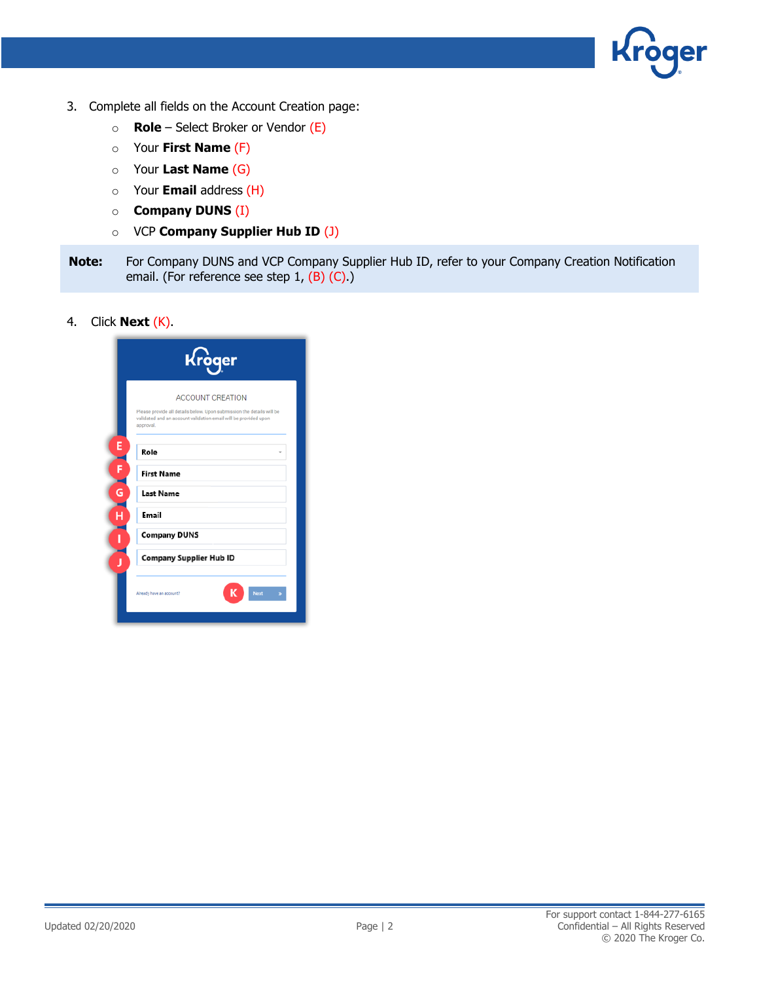

- 3. Complete all fields on the Account Creation page:
	- o **Role** Select Broker or Vendor (E)
	- o Your **First Name** (F)
	- o Your **Last Name** (G)
	- o Your **Email** address (H)
	- o **Company DUNS** (I)
	- o VCP **Company Supplier Hub ID** (J)
- **Note:** For Company DUNS and VCP Company Supplier Hub ID, refer to your Company Creation Notification email. (For reference see step 1, (B) (C).)
- 4. Click **Next** (K).

|                         | Kroger                                                                                                                                                                           |
|-------------------------|----------------------------------------------------------------------------------------------------------------------------------------------------------------------------------|
|                         | <b>ACCOUNT CREATION</b><br>Please provide all details below. Upon submission the details will be<br>validated and an account validation email will be provided upon<br>approval. |
| E<br>$F$ $G$            | Role<br><b>First Name</b>                                                                                                                                                        |
| $\overline{\mathbf{H}}$ | <b>Last Name</b><br>Email                                                                                                                                                        |
|                         | <b>Company DUNS</b><br>Company Supplier Hub ID                                                                                                                                   |
| Ĵ                       | Next<br>Already have an account?                                                                                                                                                 |
|                         |                                                                                                                                                                                  |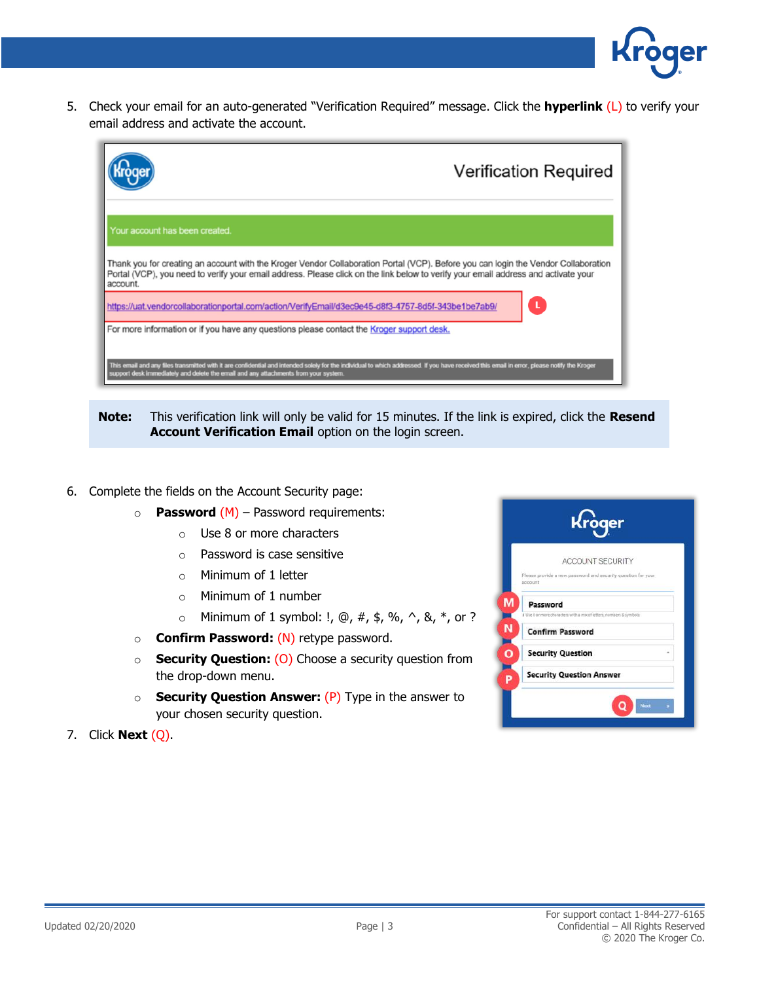5. Check your email for an auto-generated "Verification Required" message. Click the **hyperlink** (L) to verify your email address and activate the account.



**Note:** This verification link will only be valid for 15 minutes. If the link is expired, click the **Resend Account Verification Email** option on the login screen.

- 6. Complete the fields on the Account Security page:
	- o **Password** (M) Password requirements:
		- o Use 8 or more characters
		- o Password is case sensitive
		- $\circ$  Minimum of 1 letter
		- o Minimum of 1 number
		- $\circ$  Minimum of 1 symbol: !,  $\omega$ , #, \$, %, ^, &, \*, or ?
	- o **Confirm Password:** (N) retype password.
	- o **Security Question:** (O) Choose a security question from the drop-down menu.
	- o **Security Question Answer:** (P) Type in the answer to your chosen security question.
- 7. Click **Next** (Q).

| <b>ACCOUNT SECURITY</b>                                                 |  |
|-------------------------------------------------------------------------|--|
| Please provide a new password and security question for your<br>account |  |
| Password                                                                |  |
| I Use 8 or more characters with a mix of letters, numbers & symbols.    |  |
| <b>Confirm Password</b>                                                 |  |
| <b>Security Question</b>                                                |  |
| <b>Security Question Answer</b>                                         |  |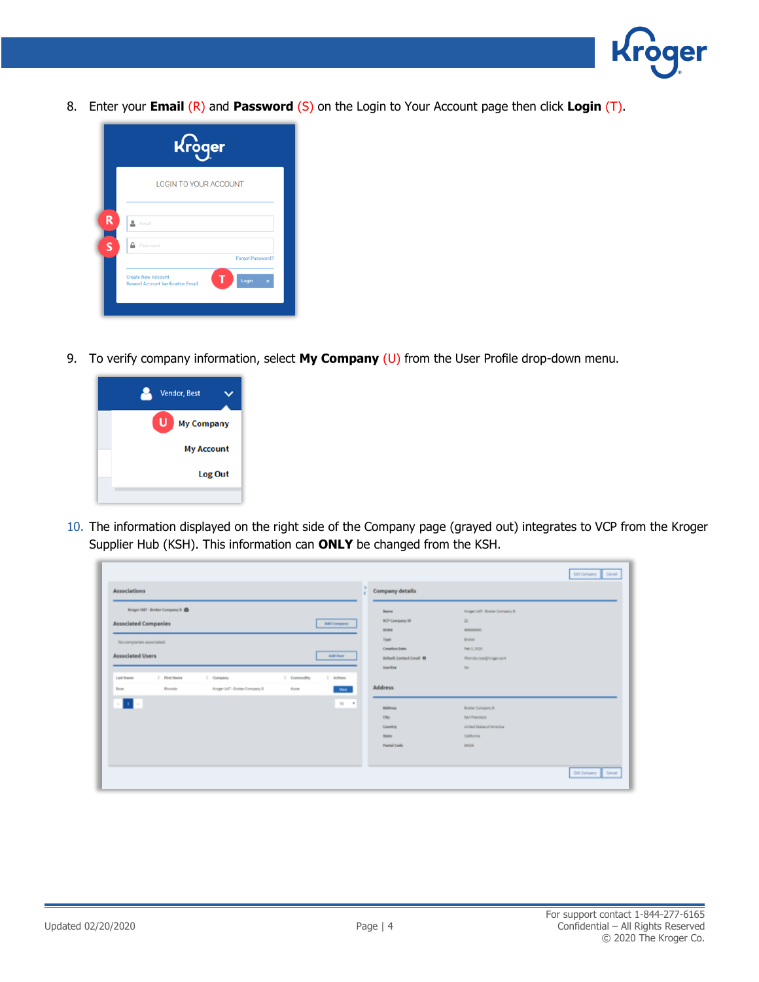

8. Enter your **Email** (R) and **Password** (S) on the Login to Your Account page then click **Login** (T).



9. To verify company information, select **My Company** (U) from the User Profile drop-down menu.



10. The information displayed on the right side of the Company page (grayed out) integrates to VCP from the Kroger Supplier Hub (KSH). This information can **ONLY** be changed from the KSH.

|                                                                                              | <b>GER Company Concel</b>                                           |
|----------------------------------------------------------------------------------------------|---------------------------------------------------------------------|
| <b>Associations</b>                                                                          | Company details                                                     |
| Krager UAT - Broker Company 8 (B)                                                            | Knope Ltd. - Broker Company S<br>Name                               |
| <b>Associated Companies</b><br>Add Company                                                   | <b>W.P Campany ID</b><br>$\overline{a}$                             |
|                                                                                              | <b>DOM</b><br>900000007                                             |
| No companies associated.                                                                     | Tupe<br>Broker                                                      |
| <b>Associated Users</b><br>Add their                                                         | <b>Creation Bate</b><br>Pain 1, 2020                                |
|                                                                                              | Default Cantact Email ®<br><b>Интеллеризател</b><br>inartive<br>No. |
| <b>Company</b><br>1 Commedity<br>First Name<br>1 Actions<br>Lost Name                        |                                                                     |
| Kroper UAT - Broker Company B.<br><b>Bhenda</b><br><b>Bone</b><br><b>Mes.</b><br><b>Band</b> | <b>Address</b>                                                      |
| $\mathbf{u}$ .<br>$10 - 1$                                                                   | Address<br><b>Broker Company &amp;</b>                              |
|                                                                                              | San Francisco<br>ON                                                 |
|                                                                                              | United States of America<br>Country                                 |
|                                                                                              | California<br>State                                                 |
|                                                                                              | <b>Postal Code</b><br>14018                                         |
|                                                                                              |                                                                     |
|                                                                                              | <b>GER Company Concel</b>                                           |
|                                                                                              |                                                                     |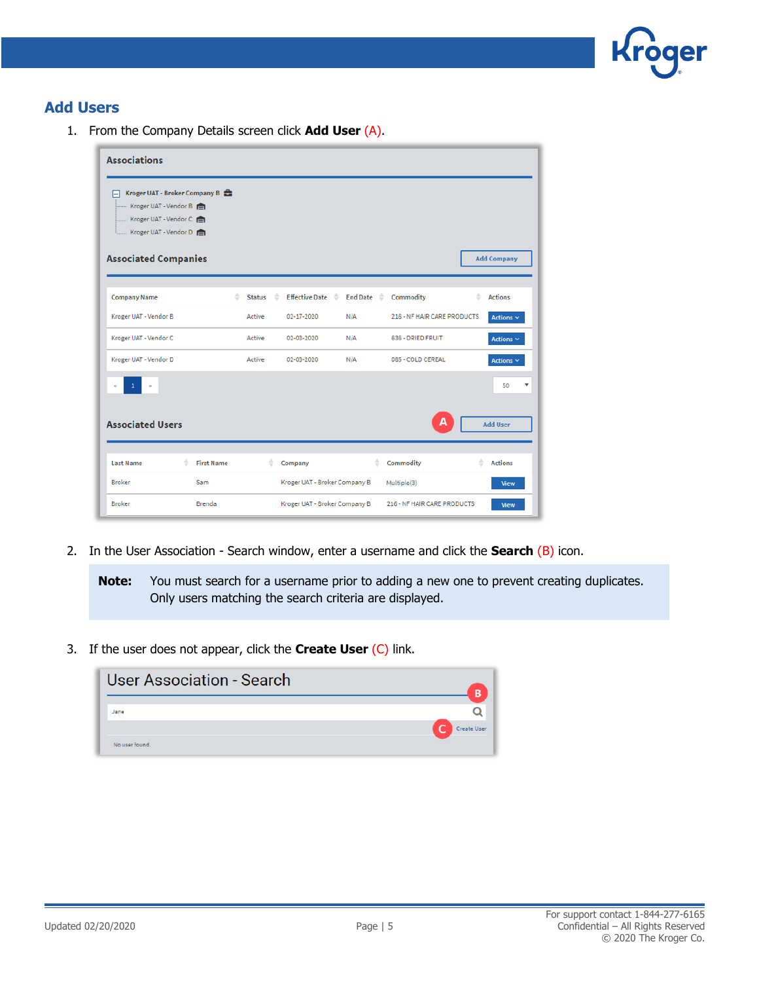

## **Add Users**

1. From the Company Details screen click **Add User** (A).

| <b>Associations</b>                                                                                           |                   |               |   |                               |                       |                             |                     |
|---------------------------------------------------------------------------------------------------------------|-------------------|---------------|---|-------------------------------|-----------------------|-----------------------------|---------------------|
| Kroger UAT - Broker Company B<br>⊟<br>Kroger UAT - Vendor B<br>Kroger UAT - Vendor C<br>Kroger UAT - Vendor D |                   |               |   |                               |                       |                             |                     |
| <b>Associated Companies</b>                                                                                   |                   |               |   |                               |                       |                             | <b>Add Company</b>  |
| <b>Company Name</b>                                                                                           | ê                 | <b>Status</b> | ÷ | Effective Date <sup>2</sup>   | End Date $\triangleq$ | Commodity                   | ÷<br><b>Actions</b> |
| Kroger UAT - Vendor B                                                                                         |                   | Active        |   | $02 - 17 - 2020$              | N/A                   | 216 - NF HAIR CARE PRODUCTS | Actions $\sim$      |
| Kroger UAT - Vendor C                                                                                         |                   | Active        |   | 02-03-2020                    | N/A                   | 636 - DRIED FRUIT           | Actions $\sim$      |
| Kroger UAT - Vendor D                                                                                         |                   | Active        |   | 02-03-2020                    | N/A                   | 085 - COLD CEREAL           | Actions $\sim$      |
|                                                                                                               |                   |               |   |                               |                       |                             | 50<br>▼             |
| <b>Associated Users</b>                                                                                       |                   |               |   |                               |                       | А                           | <b>Add User</b>     |
| <b>Last Name</b><br>÷                                                                                         | <b>First Name</b> |               | ÷ | Company                       | ÷                     | Commodity                   | <b>Actions</b>      |
| <b>Broker</b>                                                                                                 | Sam               |               |   | Kroger UAT - Broker Company B |                       | Multiple(3)                 | <b>View</b>         |
| <b>Broker</b>                                                                                                 | Brenda            |               |   | Kroger UAT - Broker Company B |                       | 216 - NF HAIR CARE PRODUCTS | <b>View</b>         |

2. In the User Association - Search window, enter a username and click the **Search** (B) icon.

**Note:** You must search for a username prior to adding a new one to prevent creating duplicates. Only users matching the search criteria are displayed.

3. If the user does not appear, click the **Create User** (C) link.

| User Association - Search | B           |
|---------------------------|-------------|
| Jane                      |             |
|                           | Create User |
| No user found.            |             |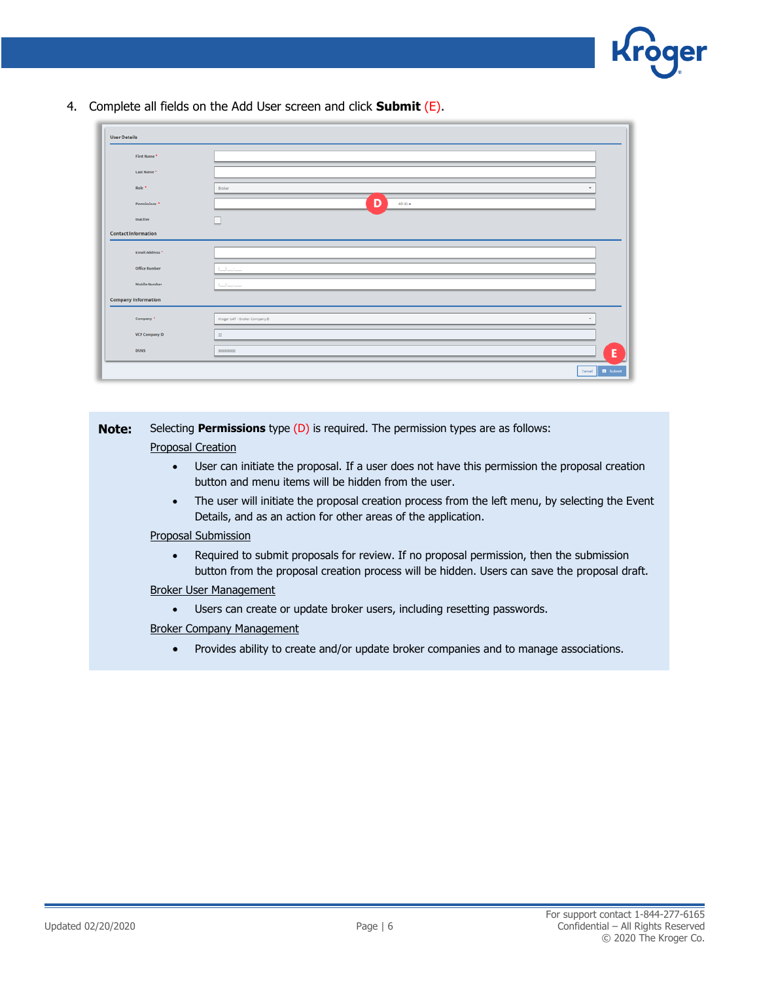

4. Complete all fields on the Add User screen and click **Submit** (E).

| <b>User Details</b>        |                                    |
|----------------------------|------------------------------------|
| First Name *               |                                    |
| Last Name *                |                                    |
| Role <sup>*</sup>          | Broker                             |
| Permissions <sup>*</sup>   | D<br>All $(4)$ $\star$             |
| Inactive                   |                                    |
| <b>Contact Information</b> |                                    |
| Email Address <sup>*</sup> |                                    |
| <b>Office Number</b>       | College and                        |
| <b>Mobile Number</b>       | $\cup \ldots$                      |
| <b>Company Information</b> |                                    |
| Company *                  | Kroger UAT - Broker Company B<br>٠ |
| VCP Company ID             | 22                                 |
| <b>DUNS</b>                | Ε<br>999999933                     |
|                            | Cancel <b>D</b> Submit             |

| Note: | Selecting <b>Permissions</b> type $(D)$ is required. The permission types are as follows:                                                                                               |
|-------|-----------------------------------------------------------------------------------------------------------------------------------------------------------------------------------------|
|       | <b>Proposal Creation</b>                                                                                                                                                                |
|       | User can initiate the proposal. If a user does not have this permission the proposal creation<br>button and menu items will be hidden from the user.                                    |
|       | The user will initiate the proposal creation process from the left menu, by selecting the Event<br>$\bullet$<br>Details, and as an action for other areas of the application.           |
|       | Proposal Submission                                                                                                                                                                     |
|       | Required to submit proposals for review. If no proposal permission, then the submission<br>button from the proposal creation process will be hidden. Users can save the proposal draft. |
|       | Broker User Management                                                                                                                                                                  |
|       | Users can create or update broker users, including resetting passwords.                                                                                                                 |
|       |                                                                                                                                                                                         |

- Broker Company Management
	- Provides ability to create and/or update broker companies and to manage associations.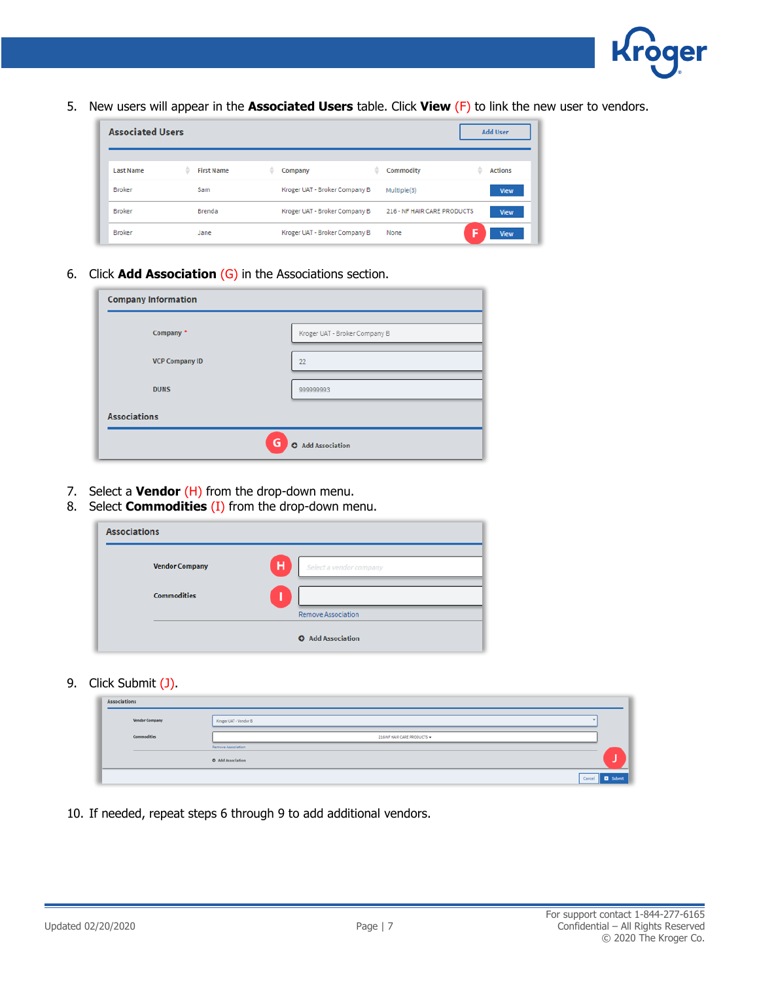

5. New users will appear in the **Associated Users** table. Click **View** (F) to link the new user to vendors.

| <b>Associated Users</b> |                        |                               | <b>Add User</b>                       |
|-------------------------|------------------------|-------------------------------|---------------------------------------|
| <b>Last Name</b>        | <b>First Name</b><br>≞ | ÷<br>Company                  | ô<br><b>Actions</b><br>Commodity<br>۵ |
| <b>Broker</b>           | Sam                    | Kroger UAT - Broker Company B | Multiple(3)<br>View                   |
| <b>Broker</b>           | Brenda                 | Kroger UAT - Broker Company B | 216 - NF HAIR CARE PRODUCTS<br>View   |
| <b>Broker</b>           | Jane                   | Kroger UAT - Broker Company B | None<br>View                          |

6. Click **Add Association** (G) in the Associations section.

| <b>Company Information</b> |                               |  |
|----------------------------|-------------------------------|--|
| Company *                  | Kroger UAT - Broker Company B |  |
| <b>VCP Company ID</b>      | 22                            |  |
| <b>DUNS</b>                | 99999993                      |  |
| <b>Associations</b>        |                               |  |
|                            | G<br><b>O</b> Add Association |  |

- 7. Select a **Vendor** (H) from the drop-down menu.
- 8. Select **Commodities** (I) from the drop-down menu.

| <b>Associations</b>   |                              |
|-----------------------|------------------------------|
| <b>Vendor Company</b> | н<br>Select a vendor company |
| <b>Commodities</b>    |                              |
|                       | <b>Remove Association</b>    |
|                       | <b>O</b> Add Association     |

9. Click Submit (J).

| Associations          |                                         |                           |
|-----------------------|-----------------------------------------|---------------------------|
| <b>Vendor Company</b> | Kroger UAT - Vendor B                   |                           |
| <b>Commodities</b>    | 216-NF HAIR CARE PRODUCTS +             |                           |
|                       | Remove Association<br>O Add Association |                           |
|                       |                                         | Cancel<br><b>D</b> Submit |

10. If needed, repeat steps 6 through 9 to add additional vendors.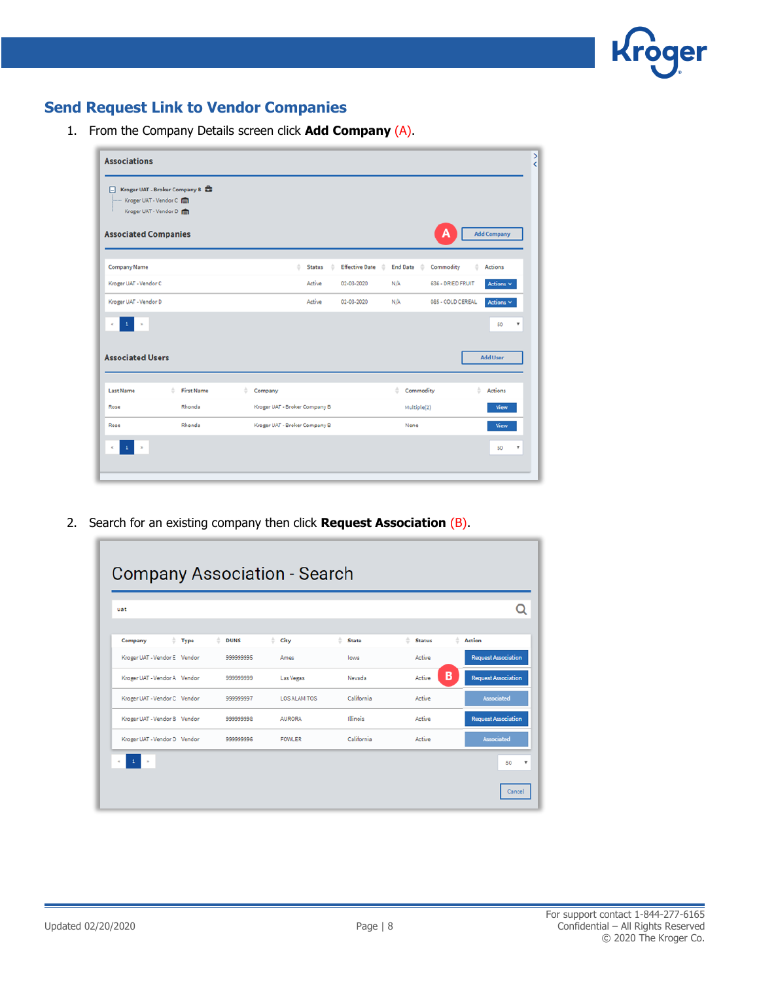

## **Send Request Link to Vendor Companies**

1. From the Company Details screen click **Add Company** (A).

| F.<br>Kroger UAT - Vendor C<br>Kroger UAT - Vendor D | Kroger UAT - Broker Company B |              |                               |                            |                      |                                  |
|------------------------------------------------------|-------------------------------|--------------|-------------------------------|----------------------------|----------------------|----------------------------------|
| <b>Associated Companies</b>                          |                               |              |                               |                            |                      | А<br><b>Add Company</b>          |
| <b>Company Name</b>                                  |                               |              | ô<br><b>Status</b><br>۵       | <b>Effective Date</b><br>÷ | <b>End Date</b><br>÷ | Commodity<br><b>Actions</b><br>۵ |
| Kroger UAT - Vendor C                                |                               |              | Active                        | 02-03-2020                 | N/A                  | 636 - DRIED FRUIT<br>Actions V   |
| Kroger UAT - Vendor D                                |                               |              | Active                        | 02-03-2020                 | N/A                  | 085 - COLD CEREAL<br>Actions V   |
|                                                      |                               |              |                               |                            |                      |                                  |
| 1<br><b>Associated Users</b>                         |                               |              |                               |                            |                      | 50<br>۳<br><b>Add User</b>       |
| <b>Last Name</b>                                     | <b>First Name</b><br>٠        | ÷<br>Company |                               |                            | Commodity<br>٠       | ô<br>Actions                     |
| Rose                                                 | Rhonda                        |              | Kroger UAT - Broker Company B |                            | Multiple(2)          | View                             |

2. Search for an existing company then click **Request Association** (B).

| uat                          |                   |                  |               |                     |              |               |   |                            |
|------------------------------|-------------------|------------------|---------------|---------------------|--------------|---------------|---|----------------------------|
| Company                      | $\triangleq$ Type | ÷<br><b>DUNS</b> | ÷<br>City     | ÷.                  | <b>State</b> | <b>Status</b> | ÷ | <b>Action</b>              |
| Kroger UAT - Vendor E Vendor |                   | 999999995        | Ames          |                     | lowa         | Active        |   | <b>Request Association</b> |
| Kroger UAT - Vendor A Vendor |                   | 999999999        |               | Las Vegas           | Nevada       | Active        | в | <b>Request Association</b> |
| Kroger UAT - Vendor C Vendor |                   | 999999997        |               | <b>LOS ALAMITOS</b> | California   | Active        |   | Associated                 |
| Kroger UAT - Vendor B Vendor |                   | 999999998        | <b>AURORA</b> |                     | Illinois     | Active        |   | <b>Request Association</b> |
| Kroger UAT - Vendor D Vendor |                   | 99999996         | <b>FOWLER</b> |                     | California   | Active        |   | Associated                 |